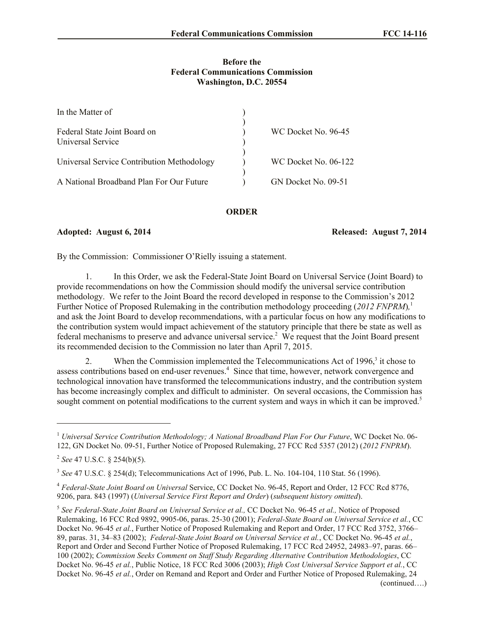## **Before the Federal Communications Commission Washington, D.C. 20554**

| In the Matter of                                  |                      |
|---------------------------------------------------|----------------------|
| Federal State Joint Board on<br>Universal Service | WC Docket No. 96-45  |
| Universal Service Contribution Methodology        | WC Docket No. 06-122 |
| A National Broadband Plan For Our Future          | GN Docket No. 09-51  |

## **ORDER**

**Adopted: August 6, 2014 Released: August 7, 2014**

By the Commission: Commissioner O'Rielly issuing a statement.

1. In this Order, we ask the Federal-State Joint Board on Universal Service (Joint Board) to provide recommendations on how the Commission should modify the universal service contribution methodology. We refer to the Joint Board the record developed in response to the Commission's 2012 Further Notice of Proposed Rulemaking in the contribution methodology proceeding (*2012 FNPRM*)*,* 1 and ask the Joint Board to develop recommendations, with a particular focus on how any modifications to the contribution system would impact achievement of the statutory principle that there be state as well as federal mechanisms to preserve and advance universal service.<sup>2</sup> We request that the Joint Board present its recommended decision to the Commission no later than April 7, 2015.

2. When the Commission implemented the Telecommunications Act of 1996,<sup>3</sup> it chose to assess contributions based on end-user revenues.<sup>4</sup> Since that time, however, network convergence and technological innovation have transformed the telecommunications industry, and the contribution system has become increasingly complex and difficult to administer. On several occasions, the Commission has sought comment on potential modifications to the current system and ways in which it can be improved.<sup>5</sup>

l

<sup>1</sup> *Universal Service Contribution Methodology; A National Broadband Plan For Our Future*, WC Docket No. 06- 122, GN Docket No. 09-51, Further Notice of Proposed Rulemaking, 27 FCC Rcd 5357 (2012) (*2012 FNPRM*).

<sup>2</sup> *See* 47 U.S.C. § 254(b)(5).

<sup>3</sup> *See* 47 U.S.C. § 254(d); Telecommunications Act of 1996, Pub. L. No. 104-104, 110 Stat. 56 (1996).

<sup>4</sup> *Federal-State Joint Board on Universal* Service, CC Docket No. 96-45, Report and Order, 12 FCC Rcd 8776, 9206, para. 843 (1997) (*Universal Service First Report and Order*) (*subsequent history omitted*).

<sup>5</sup> *See Federal-State Joint Board on Universal Service et al.,* CC Docket No. 96-45 *et al.,* Notice of Proposed Rulemaking, 16 FCC Rcd 9892, 9905-06, paras. 25-30 (2001); *Federal-State Board on Universal Service et al.*, CC Docket No. 96-45 *et al.*, Further Notice of Proposed Rulemaking and Report and Order, 17 FCC Rcd 3752, 3766– 89, paras. 31, 34–83 (2002); *Federal-State Joint Board on Universal Service et al.*, CC Docket No. 96-45 *et al.*, Report and Order and Second Further Notice of Proposed Rulemaking, 17 FCC Rcd 24952, 24983–97, paras. 66– 100 (2002); *Commission Seeks Comment on Staff Study Regarding Alternative Contribution Methodologies*, CC Docket No. 96-45 *et al.*, Public Notice, 18 FCC Rcd 3006 (2003); *High Cost Universal Service Support et al.*, CC Docket No. 96-45 *et al.*, Order on Remand and Report and Order and Further Notice of Proposed Rulemaking, 24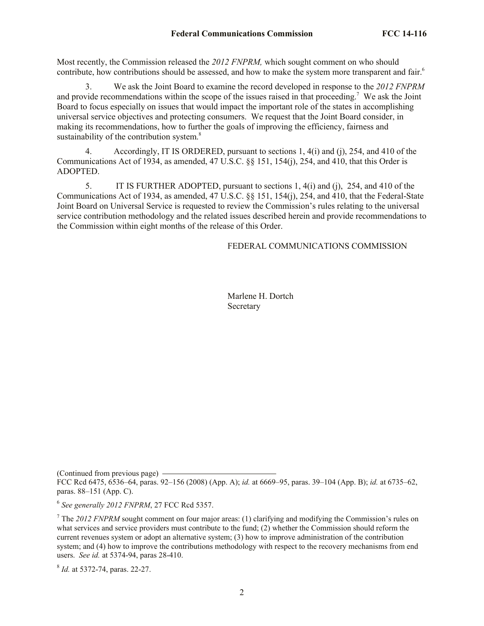Most recently, the Commission released the *2012 FNPRM,* which sought comment on who should contribute, how contributions should be assessed, and how to make the system more transparent and fair.<sup>6</sup>

3. We ask the Joint Board to examine the record developed in response to the *2012 FNPRM* and provide recommendations within the scope of the issues raised in that proceeding. 7 We ask the Joint Board to focus especially on issues that would impact the important role of the states in accomplishing universal service objectives and protecting consumers. We request that the Joint Board consider, in making its recommendations, how to further the goals of improving the efficiency, fairness and sustainability of the contribution system.<sup>8</sup>

4. Accordingly, IT IS ORDERED, pursuant to sections 1, 4(i) and (j), 254, and 410 of the Communications Act of 1934, as amended, 47 U.S.C. §§ 151, 154(j), 254, and 410, that this Order is ADOPTED.

5. IT IS FURTHER ADOPTED, pursuant to sections 1, 4(i) and (j), 254, and 410 of the Communications Act of 1934, as amended, 47 U.S.C. §§ 151, 154(j), 254, and 410, that the Federal-State Joint Board on Universal Service is requested to review the Commission's rules relating to the universal service contribution methodology and the related issues described herein and provide recommendations to the Commission within eight months of the release of this Order.

FEDERAL COMMUNICATIONS COMMISSION

Marlene H. Dortch **Secretary** 

(Continued from previous page) FCC Rcd 6475, 6536–64, paras. 92–156 (2008) (App. A); *id.* at 6669–95, paras. 39–104 (App. B); *id.* at 6735–62, paras. 88–151 (App. C).

6 *See generally 2012 FNPRM*, 27 FCC Rcd 5357.

<sup>7</sup> The 2012 FNPRM sought comment on four major areas: (1) clarifying and modifying the Commission's rules on what services and service providers must contribute to the fund; (2) whether the Commission should reform the current revenues system or adopt an alternative system; (3) how to improve administration of the contribution system; and (4) how to improve the contributions methodology with respect to the recovery mechanisms from end users. *See id.* at 5374-94, paras 28-410.

8 *Id.* at 5372-74, paras. 22-27.